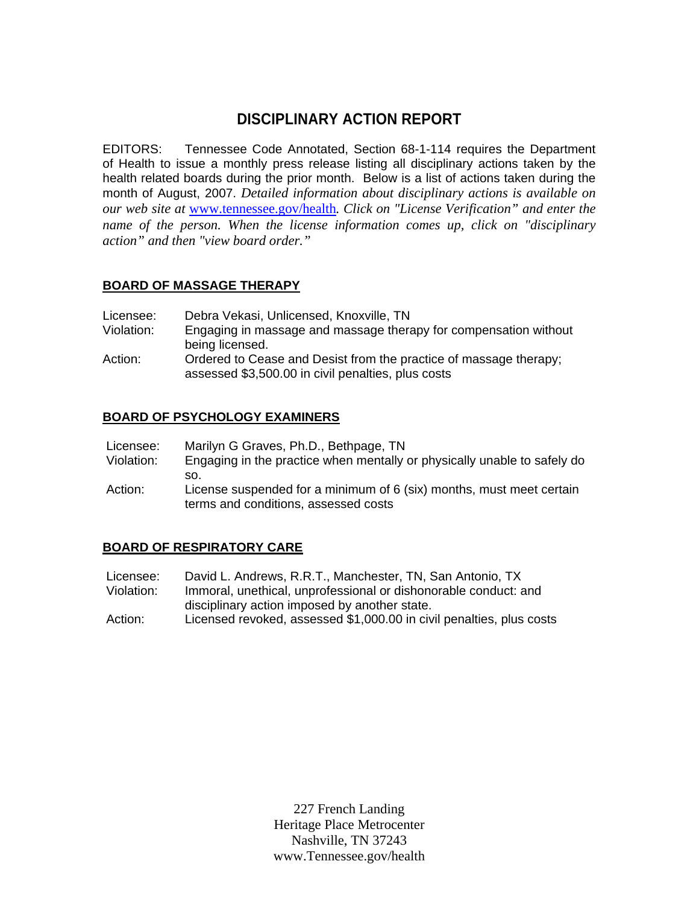# **DISCIPLINARY ACTION REPORT**

EDITORS: Tennessee Code Annotated, Section 68-1-114 requires the Department of Health to issue a monthly press release listing all disciplinary actions taken by the health related boards during the prior month. Below is a list of actions taken during the month of August, 2007. *Detailed information about disciplinary actions is available on our web site at* www.tennessee.gov/health*. Click on "License Verification" and enter the name of the person. When the license information comes up, click on "disciplinary action" and then "view board order."* 

# **BOARD OF MASSAGE THERAPY**

- Licensee: Debra Vekasi, Unlicensed, Knoxville, TN
- Violation: Engaging in massage and massage therapy for compensation without being licensed.
- Action: Ordered to Cease and Desist from the practice of massage therapy; assessed \$3,500.00 in civil penalties, plus costs

#### **BOARD OF PSYCHOLOGY EXAMINERS**

| Licensee:  | Marilyn G Graves, Ph.D., Bethpage, TN                                                       |
|------------|---------------------------------------------------------------------------------------------|
| Violation: | Engaging in the practice when mentally or physically unable to safely do                    |
|            | SO.                                                                                         |
| $A$ $A$    | $\frac{1}{2}$ isones supposeded for a minimum of $\epsilon$ (aiv) months, must most serting |

 Action: License suspended for a minimum of 6 (six) months, must meet certain terms and conditions, assessed costs

#### **BOARD OF RESPIRATORY CARE**

- Licensee: David L. Andrews, R.R.T., Manchester, TN, San Antonio, TX Violation: Immoral, unethical, unprofessional or dishonorable conduct: and disciplinary action imposed by another state.
- Action: Licensed revoked, assessed \$1,000.00 in civil penalties, plus costs

227 French Landing Heritage Place Metrocenter Nashville, TN 37243 www.Tennessee.gov/health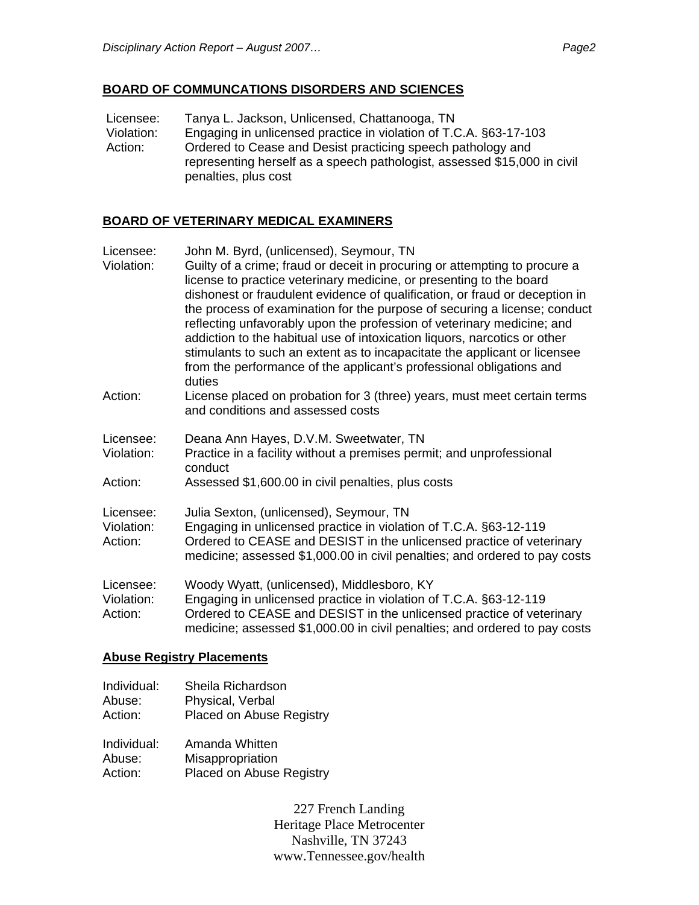## **BOARD OF COMMUNCATIONS DISORDERS AND SCIENCES**

Licensee: Tanya L. Jackson, Unlicensed, Chattanooga, TN<br>Violation: Engaging in unlicensed practice in violation of T. Engaging in unlicensed practice in violation of T.C.A. §63-17-103 Action: Ordered to Cease and Desist practicing speech pathology and representing herself as a speech pathologist, assessed \$15,000 in civil penalties, plus cost

## **BOARD OF VETERINARY MEDICAL EXAMINERS**

| Licensee:<br>Violation:            | John M. Byrd, (unlicensed), Seymour, TN<br>Guilty of a crime; fraud or deceit in procuring or attempting to procure a<br>license to practice veterinary medicine, or presenting to the board<br>dishonest or fraudulent evidence of qualification, or fraud or deception in<br>the process of examination for the purpose of securing a license; conduct<br>reflecting unfavorably upon the profession of veterinary medicine; and<br>addiction to the habitual use of intoxication liquors, narcotics or other<br>stimulants to such an extent as to incapacitate the applicant or licensee<br>from the performance of the applicant's professional obligations and<br>duties |
|------------------------------------|--------------------------------------------------------------------------------------------------------------------------------------------------------------------------------------------------------------------------------------------------------------------------------------------------------------------------------------------------------------------------------------------------------------------------------------------------------------------------------------------------------------------------------------------------------------------------------------------------------------------------------------------------------------------------------|
| Action:                            | License placed on probation for 3 (three) years, must meet certain terms<br>and conditions and assessed costs                                                                                                                                                                                                                                                                                                                                                                                                                                                                                                                                                                  |
| Licensee:<br>Violation:<br>Action: | Deana Ann Hayes, D.V.M. Sweetwater, TN<br>Practice in a facility without a premises permit; and unprofessional<br>conduct<br>Assessed \$1,600.00 in civil penalties, plus costs                                                                                                                                                                                                                                                                                                                                                                                                                                                                                                |
| Licensee:<br>Violation:<br>Action: | Julia Sexton, (unlicensed), Seymour, TN<br>Engaging in unlicensed practice in violation of T.C.A. §63-12-119<br>Ordered to CEASE and DESIST in the unlicensed practice of veterinary<br>medicine; assessed \$1,000.00 in civil penalties; and ordered to pay costs                                                                                                                                                                                                                                                                                                                                                                                                             |
| Licensee:<br>Violation:<br>Action: | Woody Wyatt, (unlicensed), Middlesboro, KY<br>Engaging in unlicensed practice in violation of T.C.A. §63-12-119<br>Ordered to CEASE and DESIST in the unlicensed practice of veterinary<br>medicine; assessed \$1,000.00 in civil penalties; and ordered to pay costs                                                                                                                                                                                                                                                                                                                                                                                                          |

#### **Abuse Registry Placements**

Individual: Sheila Richardson Abuse: Physical, Verbal Action: Placed on Abuse Registry

| Individual: | Amanda Whitten                  |
|-------------|---------------------------------|
| Abuse:      | Misappropriation                |
| Action:     | <b>Placed on Abuse Registry</b> |

227 French Landing Heritage Place Metrocenter Nashville, TN 37243 www.Tennessee.gov/health